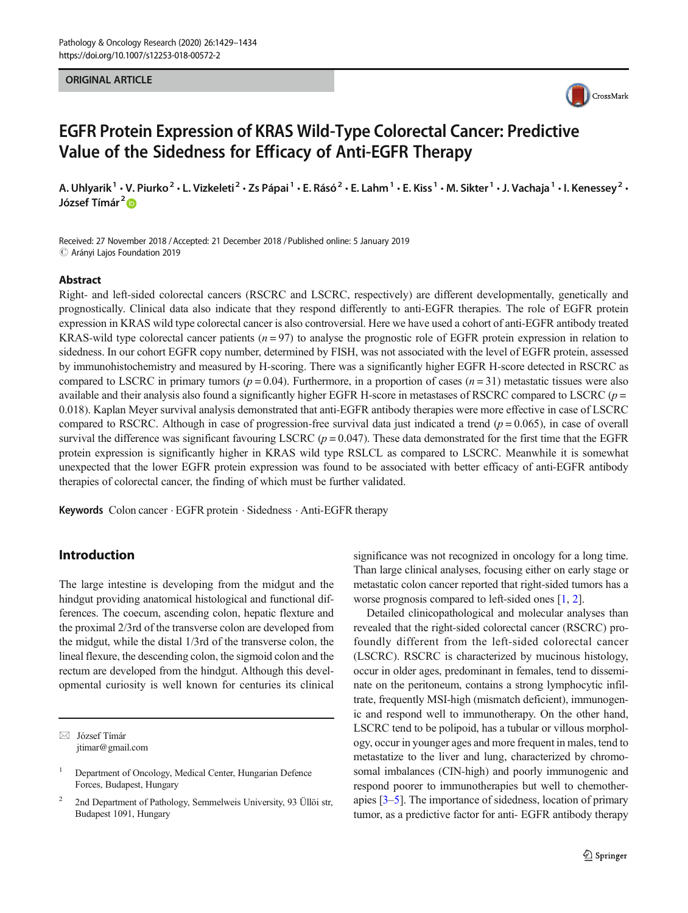#### ORIGINAL ARTICLE



# EGFR Protein Expression of KRAS Wild-Type Colorectal Cancer: Predictive Value of the Sidedness for Efficacy of Anti-EGFR Therapy

A. Uhlyarik<sup>1</sup> • V. Piurko<sup>2</sup> • L. Vizkeleti<sup>2</sup> • Zs Pápai<sup>1</sup> • E. Rásó<sup>2</sup> • E. Lahm<sup>1</sup> • E. Kiss<sup>1</sup> • M. Sikter<sup>1</sup> • J. Vachaja<sup>1</sup> • I. Kenessey<sup>2</sup> • József Tímár<sup>2</sup> D

Received: 27 November 2018 /Accepted: 21 December 2018 /Published online: 5 January 2019  $\odot$  Arányi Lajos Foundation 2019

#### Abstract

Right- and left-sided colorectal cancers (RSCRC and LSCRC, respectively) are different developmentally, genetically and prognostically. Clinical data also indicate that they respond differently to anti-EGFR therapies. The role of EGFR protein expression in KRAS wild type colorectal cancer is also controversial. Here we have used a cohort of anti-EGFR antibody treated KRAS-wild type colorectal cancer patients  $(n = 97)$  to analyse the prognostic role of EGFR protein expression in relation to sidedness. In our cohort EGFR copy number, determined by FISH, was not associated with the level of EGFR protein, assessed by immunohistochemistry and measured by H-scoring. There was a significantly higher EGFR H-score detected in RSCRC as compared to LSCRC in primary tumors ( $p = 0.04$ ). Furthermore, in a proportion of cases ( $n = 31$ ) metastatic tissues were also available and their analysis also found a significantly higher EGFR H-score in metastases of RSCRC compared to LSCRC ( $p =$ 0.018). Kaplan Meyer survival analysis demonstrated that anti-EGFR antibody therapies were more effective in case of LSCRC compared to RSCRC. Although in case of progression-free survival data just indicated a trend  $(p = 0.065)$ , in case of overall survival the difference was significant favouring LSCRC ( $p = 0.047$ ). These data demonstrated for the first time that the EGFR protein expression is significantly higher in KRAS wild type RSLCL as compared to LSCRC. Meanwhile it is somewhat unexpected that the lower EGFR protein expression was found to be associated with better efficacy of anti-EGFR antibody therapies of colorectal cancer, the finding of which must be further validated.

Keywords Colon cancer · EGFR protein · Sidedness · Anti-EGFR therapy

# Introduction

The large intestine is developing from the midgut and the hindgut providing anatomical histological and functional differences. The coecum, ascending colon, hepatic flexture and the proximal 2/3rd of the transverse colon are developed from the midgut, while the distal 1/3rd of the transverse colon, the lineal flexure, the descending colon, the sigmoid colon and the rectum are developed from the hindgut. Although this developmental curiosity is well known for centuries its clinical

 $\boxtimes$  József Tímár [jtimar@gmail.com](mailto:jtimar@gmail.com) significance was not recognized in oncology for a long time. Than large clinical analyses, focusing either on early stage or metastatic colon cancer reported that right-sided tumors has a worse prognosis compared to left-sided ones [[1,](#page-4-0) [2\]](#page-4-0).

Detailed clinicopathological and molecular analyses than revealed that the right-sided colorectal cancer (RSCRC) profoundly different from the left-sided colorectal cancer (LSCRC). RSCRC is characterized by mucinous histology, occur in older ages, predominant in females, tend to disseminate on the peritoneum, contains a strong lymphocytic infiltrate, frequently MSI-high (mismatch deficient), immunogenic and respond well to immunotherapy. On the other hand, LSCRC tend to be polipoid, has a tubular or villous morphology, occur in younger ages and more frequent in males, tend to metastatize to the liver and lung, characterized by chromosomal imbalances (CIN-high) and poorly immunogenic and respond poorer to immunotherapies but well to chemotherapies [\[3](#page-4-0)–[5](#page-4-0)]. The importance of sidedness, location of primary tumor, as a predictive factor for anti- EGFR antibody therapy

<sup>1</sup> Department of Oncology, Medical Center, Hungarian Defence Forces, Budapest, Hungary

<sup>2</sup> 2nd Department of Pathology, Semmelweis University, 93 Üllöi str, Budapest 1091, Hungary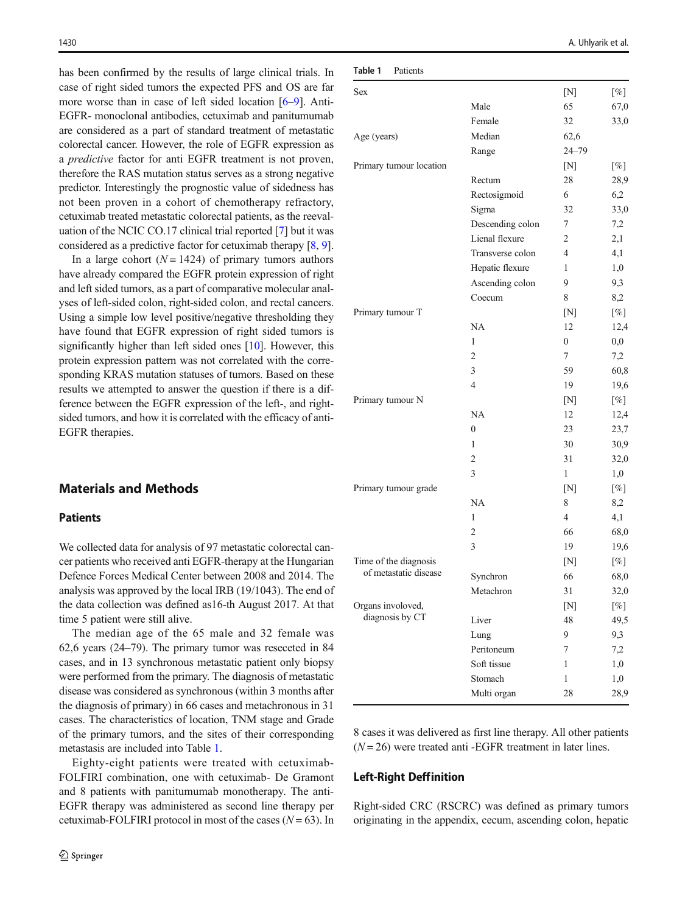<span id="page-1-0"></span>has been confirmed by the results of large clinical trials. In case of right sided tumors the expected PFS and OS are far more worse than in case of left sided location [[6](#page-4-0)–[9](#page-4-0)]. Anti-EGFR- monoclonal antibodies, cetuximab and panitumumab are considered as a part of standard treatment of metastatic colorectal cancer. However, the role of EGFR expression as a predictive factor for anti EGFR treatment is not proven, therefore the RAS mutation status serves as a strong negative predictor. Interestingly the prognostic value of sidedness has not been proven in a cohort of chemotherapy refractory, cetuximab treated metastatic colorectal patients, as the reevaluation of the NCIC CO.17 clinical trial reported [\[7](#page-4-0)] but it was considered as a predictive factor for cetuximab therapy [[8,](#page-4-0) [9\]](#page-4-0).

In a large cohort  $(N = 1424)$  of primary tumors authors have already compared the EGFR protein expression of right and left sided tumors, as a part of comparative molecular analyses of left-sided colon, right-sided colon, and rectal cancers. Using a simple low level positive/negative thresholding they have found that EGFR expression of right sided tumors is significantly higher than left sided ones [\[10\]](#page-4-0). However, this protein expression pattern was not correlated with the corresponding KRAS mutation statuses of tumors. Based on these results we attempted to answer the question if there is a difference between the EGFR expression of the left-, and rightsided tumors, and how it is correlated with the efficacy of anti-EGFR therapies.

# Materials and Methods

## **Patients**

We collected data for analysis of 97 metastatic colorectal cancer patients who received anti EGFR-therapy at the Hungarian Defence Forces Medical Center between 2008 and 2014. The analysis was approved by the local IRB (19/1043). The end of the data collection was defined as16-th August 2017. At that time 5 patient were still alive.

The median age of the 65 male and 32 female was 62,6 years (24–79). The primary tumor was reseceted in 84 cases, and in 13 synchronous metastatic patient only biopsy were performed from the primary. The diagnosis of metastatic disease was considered as synchronous (within 3 months after the diagnosis of primary) in 66 cases and metachronous in 31 cases. The characteristics of location, TNM stage and Grade of the primary tumors, and the sites of their corresponding metastasis are included into Table 1.

Eighty-eight patients were treated with cetuximab-FOLFIRI combination, one with cetuximab- De Gramont and 8 patients with panitumumab monotherapy. The anti-EGFR therapy was administered as second line therapy per cetuximab-FOLFIRI protocol in most of the cases  $(N = 63)$ . In

| Sex                                            |                  | [N]          | [%]      |
|------------------------------------------------|------------------|--------------|----------|
|                                                | Male             | 65           | 67,0     |
|                                                | Female           | 32           | 33,0     |
| Age (years)                                    | Median           | 62,6         |          |
|                                                | Range            | $24 - 79$    |          |
| Primary tumour location                        |                  | [N]          | $[\%]$   |
|                                                | Rectum           | 28           | 28,9     |
|                                                | Rectosigmoid     | 6            | 6,2      |
|                                                | Sigma            | 32           | 33,0     |
|                                                | Descending colon | 7            | 7,2      |
|                                                | Lienal flexure   | 2            | 2,1      |
|                                                | Transverse colon | 4            | 4,1      |
|                                                | Hepatic flexure  | 1            | 1,0      |
|                                                | Ascending colon  | 9            | 9,3      |
|                                                | Coecum           | 8            | 8,2      |
| Primary tumour T                               |                  | [N]          | $[\%]$   |
|                                                | NA               | 12           | 12,4     |
|                                                | 1                | $\mathbf{0}$ | $_{0,0}$ |
|                                                | $\overline{2}$   | 7            | 7,2      |
|                                                | 3                | 59           | 60,8     |
|                                                | $\overline{4}$   | 19           | 19,6     |
| Primary tumour N                               |                  | [N]          | [%]      |
|                                                | NA               | 12           | 12,4     |
|                                                | $\mathbf{0}$     | 23           | 23,7     |
|                                                | 1                | 30           | 30,9     |
|                                                | 2                | 31           | 32,0     |
|                                                | 3                | 1            | 1,0      |
| Primary tumour grade                           |                  | [N]          | $[\%]$   |
|                                                | NA               | 8            | 8,2      |
|                                                | 1                | 4            | 4,1      |
|                                                | 2                | 66           | 68,0     |
|                                                | 3                | 19           | 19,6     |
| Time of the diagnosis<br>of metastatic disease |                  | [N]          | $[\%]$   |
|                                                | Synchron         | 66           | 68,0     |
|                                                | Metachron        | 31           | 32,0     |
| Organs involoved,                              |                  | [N]          | $[\%]$   |
| diagnosis by CT                                | Liver            | 48           | 49,5     |
|                                                | Lung             | 9            | 9,3      |
|                                                | Peritoneum       | 7            | 7,2      |
|                                                | Soft tissue      | 1            | 1,0      |
|                                                | Stomach          | 1            | 1,0      |
|                                                |                  |              |          |

8 cases it was delivered as first line therapy. All other patients  $(N = 26)$  were treated anti-EGFR treatment in later lines.

#### Left-Right Deffinition

Right-sided CRC (RSCRC) was defined as primary tumors originating in the appendix, cecum, ascending colon, hepatic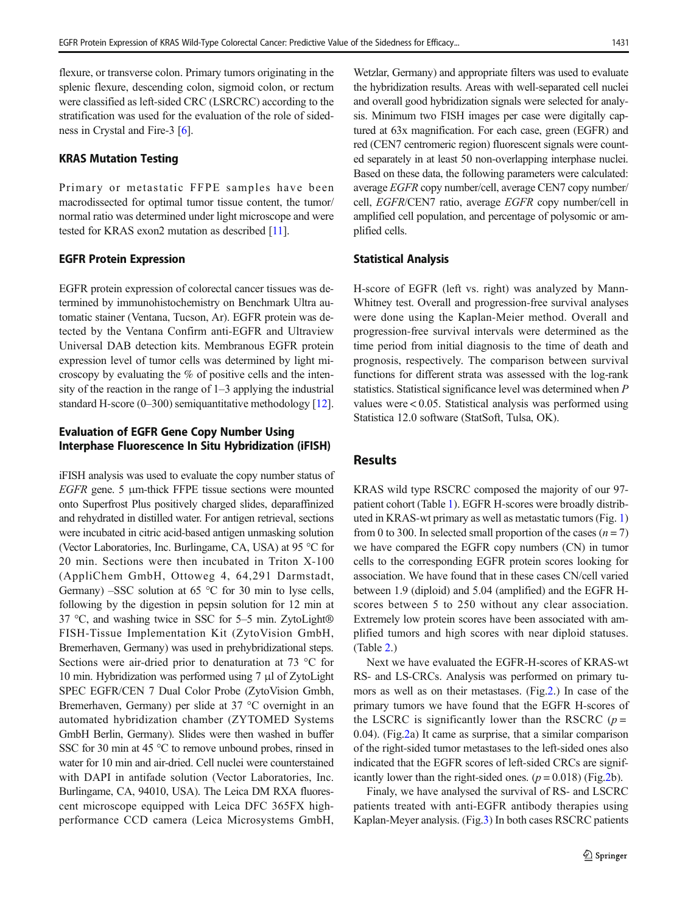flexure, or transverse colon. Primary tumors originating in the splenic flexure, descending colon, sigmoid colon, or rectum were classified as left-sided CRC (LSRCRC) according to the stratification was used for the evaluation of the role of sidedness in Crystal and Fire-3 [\[6\]](#page-4-0).

# KRAS Mutation Testing

Primary or metastatic FFPE samples have been macrodissected for optimal tumor tissue content, the tumor/ normal ratio was determined under light microscope and were tested for KRAS exon2 mutation as described [[11](#page-4-0)].

#### EGFR Protein Expression

EGFR protein expression of colorectal cancer tissues was determined by immunohistochemistry on Benchmark Ultra automatic stainer (Ventana, Tucson, Ar). EGFR protein was detected by the Ventana Confirm anti-EGFR and Ultraview Universal DAB detection kits. Membranous EGFR protein expression level of tumor cells was determined by light microscopy by evaluating the % of positive cells and the intensity of the reaction in the range of 1–3 applying the industrial standard H-score (0–300) semiquantitative methodology [[12\]](#page-4-0).

## Evaluation of EGFR Gene Copy Number Using Interphase Fluorescence In Situ Hybridization (iFISH)

iFISH analysis was used to evaluate the copy number status of EGFR gene. 5 μm-thick FFPE tissue sections were mounted onto Superfrost Plus positively charged slides, deparaffinized and rehydrated in distilled water. For antigen retrieval, sections were incubated in citric acid-based antigen unmasking solution (Vector Laboratories, Inc. Burlingame, CA, USA) at 95 °C for 20 min. Sections were then incubated in Triton X-100 (AppliChem GmbH, Ottoweg 4, 64,291 Darmstadt, Germany) –SSC solution at 65 °C for 30 min to lyse cells, following by the digestion in pepsin solution for 12 min at 37 °C, and washing twice in SSC for 5–5 min. ZytoLight® FISH-Tissue Implementation Kit (ZytoVision GmbH, Bremerhaven, Germany) was used in prehybridizational steps. Sections were air-dried prior to denaturation at 73 °C for 10 min. Hybridization was performed using 7 μl of ZytoLight SPEC EGFR/CEN 7 Dual Color Probe (ZytoVision Gmbh, Bremerhaven, Germany) per slide at 37 °C overnight in an automated hybridization chamber (ZYTOMED Systems GmbH Berlin, Germany). Slides were then washed in buffer SSC for 30 min at 45 °C to remove unbound probes, rinsed in water for 10 min and air-dried. Cell nuclei were counterstained with DAPI in antifade solution (Vector Laboratories, Inc. Burlingame, CA, 94010, USA). The Leica DM RXA fluorescent microscope equipped with Leica DFC 365FX highperformance CCD camera (Leica Microsystems GmbH,

Wetzlar, Germany) and appropriate filters was used to evaluate the hybridization results. Areas with well-separated cell nuclei and overall good hybridization signals were selected for analysis. Minimum two FISH images per case were digitally captured at 63x magnification. For each case, green (EGFR) and red (CEN7 centromeric region) fluorescent signals were counted separately in at least 50 non-overlapping interphase nuclei. Based on these data, the following parameters were calculated: average EGFR copy number/cell, average CEN7 copy number/ cell, EGFR/CEN7 ratio, average EGFR copy number/cell in amplified cell population, and percentage of polysomic or amplified cells.

#### Statistical Analysis

H-score of EGFR (left vs. right) was analyzed by Mann-Whitney test. Overall and progression-free survival analyses were done using the Kaplan-Meier method. Overall and progression-free survival intervals were determined as the time period from initial diagnosis to the time of death and prognosis, respectively. The comparison between survival functions for different strata was assessed with the log-rank statistics. Statistical significance level was determined when P values were < 0.05. Statistical analysis was performed using Statistica 12.0 software (StatSoft, Tulsa, OK).

# Results

KRAS wild type RSCRC composed the majority of our 97 patient cohort (Table [1\)](#page-1-0). EGFR H-scores were broadly distributed in KRAS-wt primary as well as metastatic tumors (Fig. [1](#page-3-0)) from 0 to 300. In selected small proportion of the cases  $(n = 7)$ we have compared the EGFR copy numbers (CN) in tumor cells to the corresponding EGFR protein scores looking for association. We have found that in these cases CN/cell varied between 1.9 (diploid) and 5.04 (amplified) and the EGFR Hscores between 5 to 250 without any clear association. Extremely low protein scores have been associated with amplified tumors and high scores with near diploid statuses. (Table [2](#page-3-0).)

Next we have evaluated the EGFR-H-scores of KRAS-wt RS- and LS-CRCs. Analysis was performed on primary tumors as well as on their metastases. (Fig[.2](#page-3-0).) In case of the primary tumors we have found that the EGFR H-scores of the LSCRC is significantly lower than the RSCRC ( $p =$ 0.04). (Fig[.2](#page-3-0)a) It came as surprise, that a similar comparison of the right-sided tumor metastases to the left-sided ones also indicated that the EGFR scores of left-sided CRCs are significantly lower than the right-sided ones.  $(p = 0.018)$  (Fig[.2](#page-3-0)b).

Finaly, we have analysed the survival of RS- and LSCRC patients treated with anti-EGFR antibody therapies using Kaplan-Meyer analysis. (Fig.[3](#page-4-0)) In both cases RSCRC patients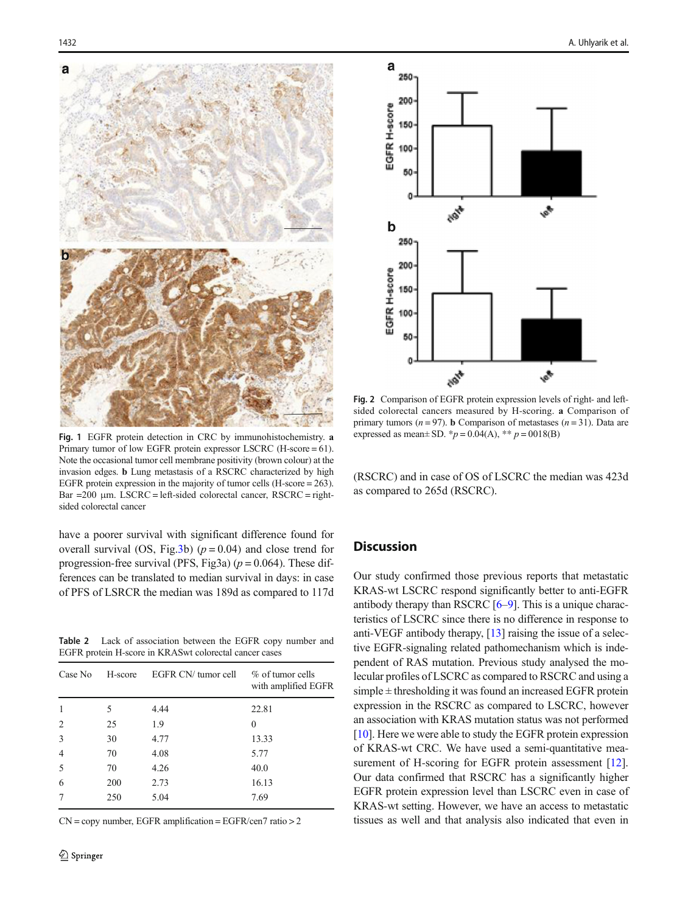<span id="page-3-0"></span>



Fig. 1 EGFR protein detection in CRC by immunohistochemistry. a Primary tumor of low EGFR protein expressor LSCRC (H-score = 61). Note the occasional tumor cell membrane positivity (brown colour) at the invasion edges. b Lung metastasis of a RSCRC characterized by high EGFR protein expression in the majority of tumor cells (H-score = 263). Bar =200 μm. LSCRC = left-sided colorectal cancer, RSCRC = rightsided colorectal cancer

have a poorer survival with significant difference found for overall survival (OS, Fig[.3](#page-4-0)b) ( $p = 0.04$ ) and close trend for progression-free survival (PFS, Fig3a)  $(p = 0.064)$ . These differences can be translated to median survival in days: in case of PFS of LSRCR the median was 189d as compared to 117d

Table 2 Lack of association between the EGFR copy number and EGFR protein H-score in KRASwt colorectal cancer cases

| Case No        | H-score | EGFR CN/ tumor cell | $\%$ of tumor cells<br>with amplified EGFR |
|----------------|---------|---------------------|--------------------------------------------|
| $\mathbf{1}$   | 5       | 4.44                | 22.81                                      |
| $\overline{2}$ | 25      | 1.9                 | 0                                          |
| 3              | 30      | 4.77                | 13.33                                      |
| $\overline{4}$ | 70      | 4.08                | 5.77                                       |
| 5              | 70      | 4.26                | 40.0                                       |
| 6              | 200     | 2.73                | 16.13                                      |
| 7              | 250     | 5.04                | 7.69                                       |

 $CN = copy$  number, EGFR amplification = EGFR/cen7 ratio > 2

Fig. 2 Comparison of EGFR protein expression levels of right- and leftsided colorectal cancers measured by H-scoring. a Comparison of primary tumors ( $n = 97$ ). **b** Comparison of metastases ( $n = 31$ ). Data are expressed as mean ± SD. \*  $p = 0.04(A)$ , \* \*  $p = 0018(B)$ 

(RSCRC) and in case of OS of LSCRC the median was 423d as compared to 265d (RSCRC).

# **Discussion**

Our study confirmed those previous reports that metastatic KRAS-wt LSCRC respond significantly better to anti-EGFR antibody therapy than RSCRC [[6](#page-4-0)–[9](#page-4-0)]. This is a unique characteristics of LSCRC since there is no difference in response to anti-VEGF antibody therapy, [\[13](#page-5-0)] raising the issue of a selective EGFR-signaling related pathomechanism which is independent of RAS mutation. Previous study analysed the molecular profiles of LSCRC as compared to RSCRC and using a  $simple \pm thresholding$  it was found an increased EGFR protein expression in the RSCRC as compared to LSCRC, however an association with KRAS mutation status was not performed [\[10](#page-4-0)]. Here we were able to study the EGFR protein expression of KRAS-wt CRC. We have used a semi-quantitative mea-surement of H-scoring for EGFR protein assessment [[12\]](#page-4-0). Our data confirmed that RSCRC has a significantly higher EGFR protein expression level than LSCRC even in case of KRAS-wt setting. However, we have an access to metastatic tissues as well and that analysis also indicated that even in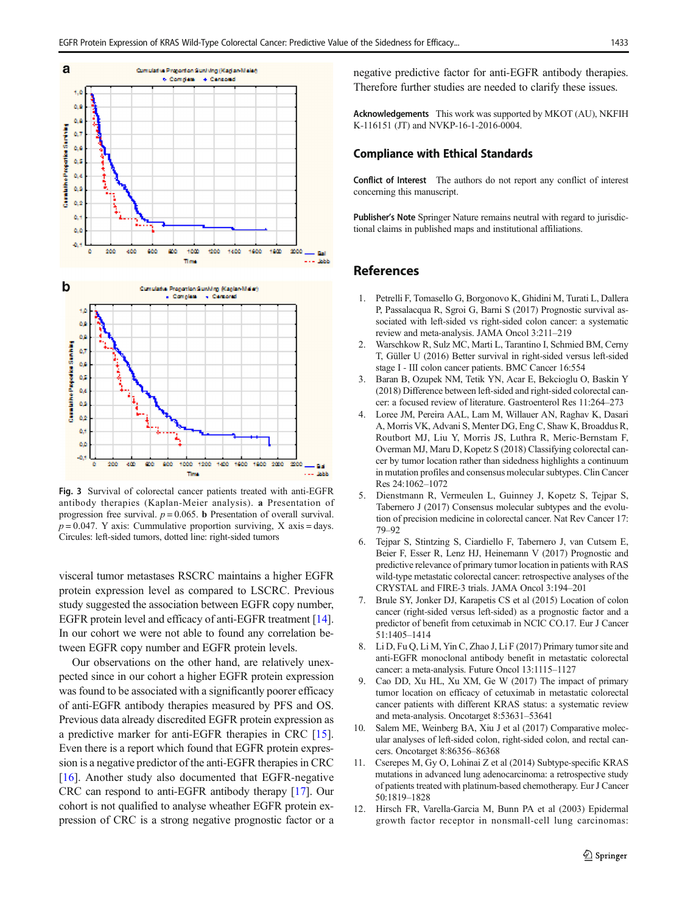<span id="page-4-0"></span>

Fig. 3 Survival of colorectal cancer patients treated with anti-EGFR antibody therapies (Kaplan-Meier analysis). a Presentation of progression free survival.  $p = 0.065$ . **b** Presentation of overall survival.  $p = 0.047$ . Y axis: Cummulative proportion surviving, X axis = days. Circules: left-sided tumors, dotted line: right-sided tumors

visceral tumor metastases RSCRC maintains a higher EGFR protein expression level as compared to LSCRC. Previous study suggested the association between EGFR copy number, EGFR protein level and efficacy of anti-EGFR treatment [[14\]](#page-5-0). In our cohort we were not able to found any correlation between EGFR copy number and EGFR protein levels.

Our observations on the other hand, are relatively unexpected since in our cohort a higher EGFR protein expression was found to be associated with a significantly poorer efficacy of anti-EGFR antibody therapies measured by PFS and OS. Previous data already discredited EGFR protein expression as a predictive marker for anti-EGFR therapies in CRC [\[15](#page-5-0)]. Even there is a report which found that EGFR protein expression is a negative predictor of the anti-EGFR therapies in CRC [\[16](#page-5-0)]. Another study also documented that EGFR-negative CRC can respond to anti-EGFR antibody therapy [\[17\]](#page-5-0). Our cohort is not qualified to analyse wheather EGFR protein expression of CRC is a strong negative prognostic factor or a negative predictive factor for anti-EGFR antibody therapies. Therefore further studies are needed to clarify these issues.

Acknowledgements This work was supported by MKOT (AU), NKFIH K-116151 (JT) and NVKP-16-1-2016-0004.

#### Compliance with Ethical Standards

Conflict of Interest The authors do not report any conflict of interest concerning this manuscript.

Publisher's Note Springer Nature remains neutral with regard to jurisdictional claims in published maps and institutional affiliations.

## **References**

- 1. Petrelli F, Tomasello G, Borgonovo K, Ghidini M, Turati L, Dallera P, Passalacqua R, Sgroi G, Barni S (2017) Prognostic survival associated with left-sided vs right-sided colon cancer: a systematic review and meta-analysis. JAMA Oncol 3:211–219
- 2. Warschkow R, Sulz MC, Marti L, Tarantino I, Schmied BM, Cerny T, Güller U (2016) Better survival in right-sided versus left-sided stage I - III colon cancer patients. BMC Cancer 16:554
- 3. Baran B, Ozupek NM, Tetik YN, Acar E, Bekcioglu O, Baskin Y (2018) Difference between left-sided and right-sided colorectal cancer: a focused review of literature. Gastroenterol Res 11:264–273
- 4. Loree JM, Pereira AAL, Lam M, Willauer AN, Raghav K, Dasari A, Morris VK, Advani S, Menter DG, Eng C, Shaw K, Broaddus R, Routbort MJ, Liu Y, Morris JS, Luthra R, Meric-Bernstam F, Overman MJ, Maru D, Kopetz S (2018) Classifying colorectal cancer by tumor location rather than sidedness highlights a continuum in mutation profiles and consensus molecular subtypes. Clin Cancer Res 24:1062–1072
- 5. Dienstmann R, Vermeulen L, Guinney J, Kopetz S, Tejpar S, Tabernero J (2017) Consensus molecular subtypes and the evolution of precision medicine in colorectal cancer. Nat Rev Cancer 17: 79–92
- 6. Tejpar S, Stintzing S, Ciardiello F, Tabernero J, van Cutsem E, Beier F, Esser R, Lenz HJ, Heinemann V (2017) Prognostic and predictive relevance of primary tumor location in patients with RAS wild-type metastatic colorectal cancer: retrospective analyses of the CRYSTAL and FIRE-3 trials. JAMA Oncol 3:194–201
- 7. Brule SY, Jonker DJ, Karapetis CS et al (2015) Location of colon cancer (right-sided versus left-sided) as a prognostic factor and a predictor of benefit from cetuximab in NCIC CO.17. Eur J Cancer 51:1405–1414
- 8. Li D, Fu Q, Li M, Yin C, Zhao J, Li F (2017) Primary tumor site and anti-EGFR monoclonal antibody benefit in metastatic colorectal cancer: a meta-analysis. Future Oncol 13:1115–1127
- 9. Cao DD, Xu HL, Xu XM, Ge W (2017) The impact of primary tumor location on efficacy of cetuximab in metastatic colorectal cancer patients with different KRAS status: a systematic review and meta-analysis. Oncotarget 8:53631–53641
- 10. Salem ME, Weinberg BA, Xiu J et al (2017) Comparative molecular analyses of left-sided colon, right-sided colon, and rectal cancers. Oncotarget 8:86356–86368
- 11. Cserepes M, Gy O, Lohinai Z et al (2014) Subtype-specific KRAS mutations in advanced lung adenocarcinoma: a retrospective study of patients treated with platinum-based chemotherapy. Eur J Cancer 50:1819–1828
- 12. Hirsch FR, Varella-Garcia M, Bunn PA et al (2003) Epidermal growth factor receptor in nonsmall-cell lung carcinomas: